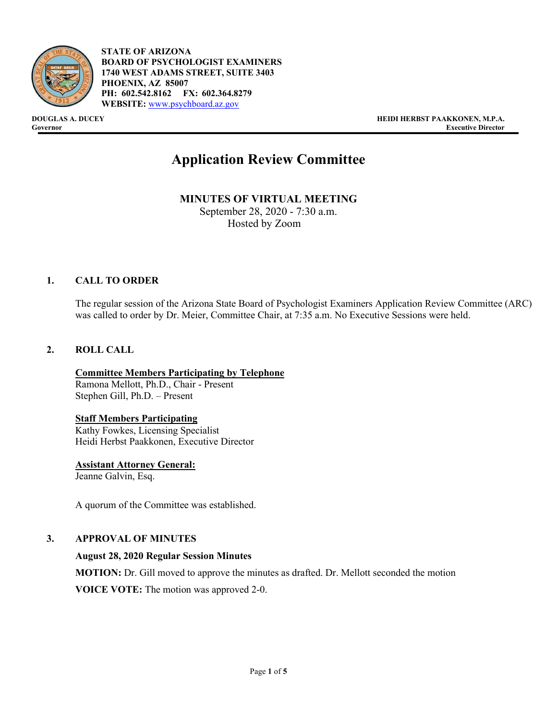

- **STATE OF ARIZONA BOARD OF PSYCHOLOGIST EXAMINERS 1740 WEST ADAMS STREET, SUITE 3403 PHOENIX, AZ 85007 PH: 602.542.8162 FX: 602.364.8279 WEBSITE:** [www.psychboard.az.gov](http://www.psychboard.az.gov/)

**DOUGLAS A. DUCEY HEIDI HERBST PAAKKONEN, M.P.A. Executive Director** 

# **Application Review Committee**

**MINUTES OF VIRTUAL MEETING**  September 28, 2020 - 7:30 a.m. Hosted by Zoom

## **1. CALL TO ORDER**

The regular session of the Arizona State Board of Psychologist Examiners Application Review Committee (ARC) was called to order by Dr. Meier, Committee Chair, at 7:35 a.m. No Executive Sessions were held.

### **2. ROLL CALL**

**Committee Members Participating by Telephone** Ramona Mellott, Ph.D., Chair - Present Stephen Gill, Ph.D. – Present

## **Staff Members Participating**

Kathy Fowkes, Licensing Specialist Heidi Herbst Paakkonen, Executive Director

**Assistant Attorney General:** Jeanne Galvin, Esq.

A quorum of the Committee was established.

## **3. APPROVAL OF MINUTES**

#### **August 28, 2020 Regular Session Minutes**

**MOTION:** Dr. Gill moved to approve the minutes as drafted. Dr. Mellott seconded the motion **VOICE VOTE:** The motion was approved 2-0.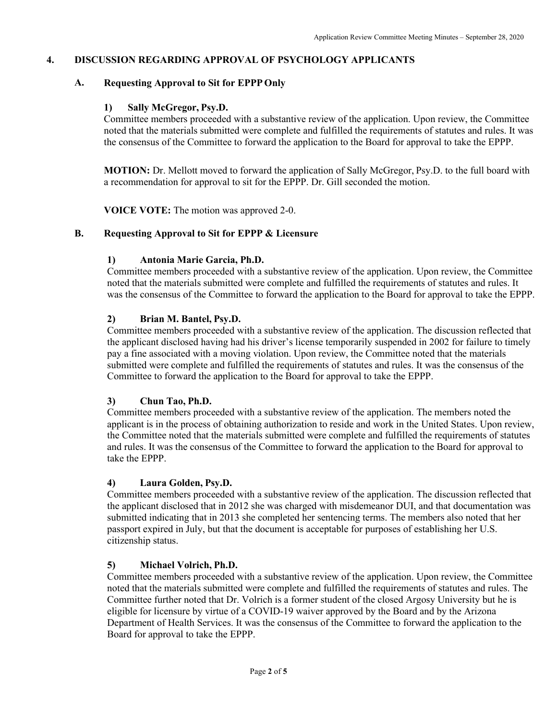## **4. DISCUSSION REGARDING APPROVAL OF PSYCHOLOGY APPLICANTS**

## **A. Requesting Approval to Sit for EPPP Only**

## **1) Sally McGregor, Psy.D.**

Committee members proceeded with a substantive review of the application. Upon review, the Committee noted that the materials submitted were complete and fulfilled the requirements of statutes and rules. It was the consensus of the Committee to forward the application to the Board for approval to take the EPPP.

**MOTION:** Dr. Mellott moved to forward the application of Sally McGregor, Psy.D. to the full board with a recommendation for approval to sit for the EPPP. Dr. Gill seconded the motion.

**VOICE VOTE:** The motion was approved 2-0.

## **B. Requesting Approval to Sit for EPPP & Licensure**

## **1) Antonia Marie Garcia, Ph.D.**

Committee members proceeded with a substantive review of the application. Upon review, the Committee noted that the materials submitted were complete and fulfilled the requirements of statutes and rules. It was the consensus of the Committee to forward the application to the Board for approval to take the EPPP.

## **2) Brian M. Bantel, Psy.D.**

Committee members proceeded with a substantive review of the application. The discussion reflected that the applicant disclosed having had his driver's license temporarily suspended in 2002 for failure to timely pay a fine associated with a moving violation. Upon review, the Committee noted that the materials submitted were complete and fulfilled the requirements of statutes and rules. It was the consensus of the Committee to forward the application to the Board for approval to take the EPPP.

## **3) Chun Tao, Ph.D.**

Committee members proceeded with a substantive review of the application. The members noted the applicant is in the process of obtaining authorization to reside and work in the United States. Upon review, the Committee noted that the materials submitted were complete and fulfilled the requirements of statutes and rules. It was the consensus of the Committee to forward the application to the Board for approval to take the EPPP.

## **4) Laura Golden, Psy.D.**

Committee members proceeded with a substantive review of the application. The discussion reflected that the applicant disclosed that in 2012 she was charged with misdemeanor DUI, and that documentation was submitted indicating that in 2013 she completed her sentencing terms. The members also noted that her passport expired in July, but that the document is acceptable for purposes of establishing her U.S. citizenship status.

## **5) Michael Volrich, Ph.D.**

Committee members proceeded with a substantive review of the application. Upon review, the Committee noted that the materials submitted were complete and fulfilled the requirements of statutes and rules. The Committee further noted that Dr. Volrich is a former student of the closed Argosy University but he is eligible for licensure by virtue of a COVID-19 waiver approved by the Board and by the Arizona Department of Health Services. It was the consensus of the Committee to forward the application to the Board for approval to take the EPPP.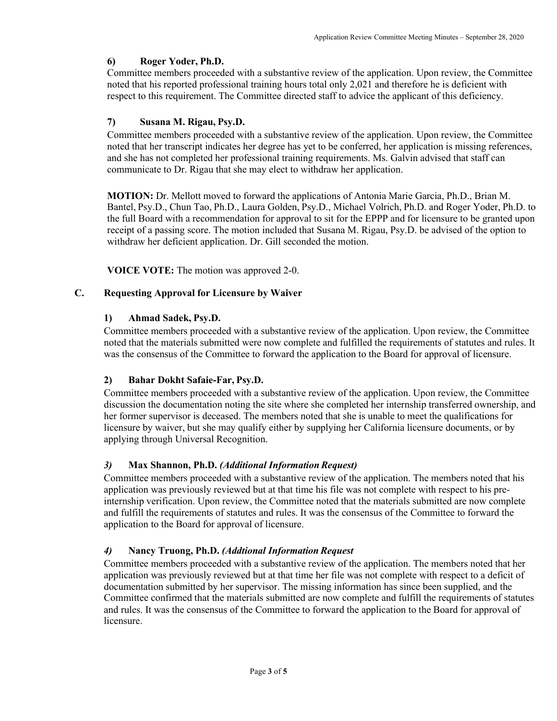## **6) Roger Yoder, Ph.D.**

Committee members proceeded with a substantive review of the application. Upon review, the Committee noted that his reported professional training hours total only 2,021 and therefore he is deficient with respect to this requirement. The Committee directed staff to advice the applicant of this deficiency.

## **7) Susana M. Rigau, Psy.D.**

Committee members proceeded with a substantive review of the application. Upon review, the Committee noted that her transcript indicates her degree has yet to be conferred, her application is missing references, and she has not completed her professional training requirements. Ms. Galvin advised that staff can communicate to Dr. Rigau that she may elect to withdraw her application.

**MOTION:** Dr. Mellott moved to forward the applications of Antonia Marie Garcia, Ph.D., Brian M. Bantel, Psy.D., Chun Tao, Ph.D., Laura Golden, Psy.D., Michael Volrich, Ph.D. and Roger Yoder, Ph.D. to the full Board with a recommendation for approval to sit for the EPPP and for licensure to be granted upon receipt of a passing score. The motion included that Susana M. Rigau, Psy.D. be advised of the option to withdraw her deficient application. Dr. Gill seconded the motion.

**VOICE VOTE:** The motion was approved 2-0.

## **C. Requesting Approval for Licensure by Waiver**

## **1) Ahmad Sadek, Psy.D.**

Committee members proceeded with a substantive review of the application. Upon review, the Committee noted that the materials submitted were now complete and fulfilled the requirements of statutes and rules. It was the consensus of the Committee to forward the application to the Board for approval of licensure.

## **2) Bahar Dokht Safaie-Far, Psy.D.**

Committee members proceeded with a substantive review of the application. Upon review, the Committee discussion the documentation noting the site where she completed her internship transferred ownership, and her former supervisor is deceased. The members noted that she is unable to meet the qualifications for licensure by waiver, but she may qualify either by supplying her California licensure documents, or by applying through Universal Recognition.

## *3)* **Max Shannon, Ph.D.** *(Additional InformationRequest)*

Committee members proceeded with a substantive review of the application. The members noted that his application was previously reviewed but at that time his file was not complete with respect to his preinternship verification. Upon review, the Committee noted that the materials submitted are now complete and fulfill the requirements of statutes and rules. It was the consensus of the Committee to forward the application to the Board for approval of licensure.

## *4)* **Nancy Truong, Ph.D.** *(Addtional Information Request*

Committee members proceeded with a substantive review of the application. The members noted that her application was previously reviewed but at that time her file was not complete with respect to a deficit of documentation submitted by her supervisor. The missing information has since been supplied, and the Committee confirmed that the materials submitted are now complete and fulfill the requirements of statutes and rules. It was the consensus of the Committee to forward the application to the Board for approval of licensure.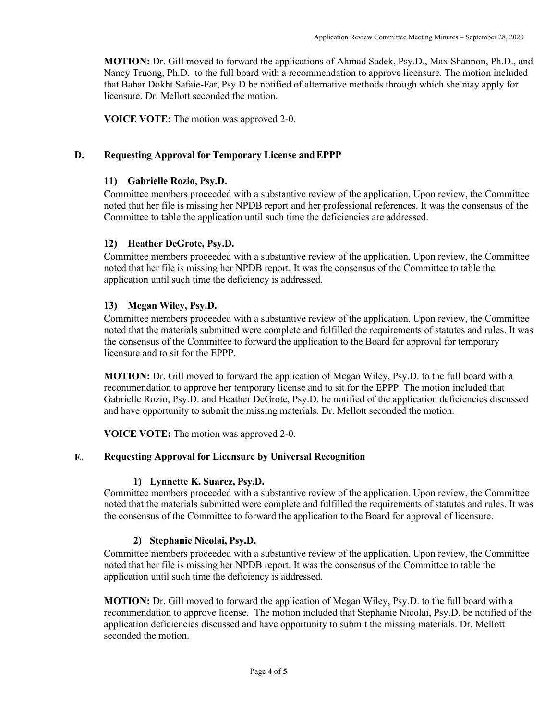**MOTION:** Dr. Gill moved to forward the applications of Ahmad Sadek, Psy.D., Max Shannon, Ph.D., and Nancy Truong, Ph.D. to the full board with a recommendation to approve licensure. The motion included that Bahar Dokht Safaie-Far, Psy.D be notified of alternative methods through which she may apply for licensure. Dr. Mellott seconded the motion.

**VOICE VOTE:** The motion was approved 2-0.

#### **D. Requesting Approval for Temporary License andEPPP**

#### **11) Gabrielle Rozio, Psy.D.**

Committee members proceeded with a substantive review of the application. Upon review, the Committee noted that her file is missing her NPDB report and her professional references. It was the consensus of the Committee to table the application until such time the deficiencies are addressed.

### **12) Heather DeGrote, Psy.D.**

Committee members proceeded with a substantive review of the application. Upon review, the Committee noted that her file is missing her NPDB report. It was the consensus of the Committee to table the application until such time the deficiency is addressed.

#### **13) Megan Wiley, Psy.D.**

Committee members proceeded with a substantive review of the application. Upon review, the Committee noted that the materials submitted were complete and fulfilled the requirements of statutes and rules. It was the consensus of the Committee to forward the application to the Board for approval for temporary licensure and to sit for the EPPP.

**MOTION:** Dr. Gill moved to forward the application of Megan Wiley, Psy.D. to the full board with a recommendation to approve her temporary license and to sit for the EPPP. The motion included that Gabrielle Rozio, Psy.D. and Heather DeGrote, Psy.D. be notified of the application deficiencies discussed and have opportunity to submit the missing materials. Dr. Mellott seconded the motion.

**VOICE VOTE:** The motion was approved 2-0.

#### **E. Requesting Approval for Licensure by Universal Recognition**

#### **1) Lynnette K. Suarez, Psy.D.**

Committee members proceeded with a substantive review of the application. Upon review, the Committee noted that the materials submitted were complete and fulfilled the requirements of statutes and rules. It was the consensus of the Committee to forward the application to the Board for approval of licensure.

#### **2) Stephanie Nicolai, Psy.D.**

Committee members proceeded with a substantive review of the application. Upon review, the Committee noted that her file is missing her NPDB report. It was the consensus of the Committee to table the application until such time the deficiency is addressed.

**MOTION:** Dr. Gill moved to forward the application of Megan Wiley, Psy.D. to the full board with a recommendation to approve license. The motion included that Stephanie Nicolai, Psy.D. be notified of the application deficiencies discussed and have opportunity to submit the missing materials. Dr. Mellott seconded the motion.